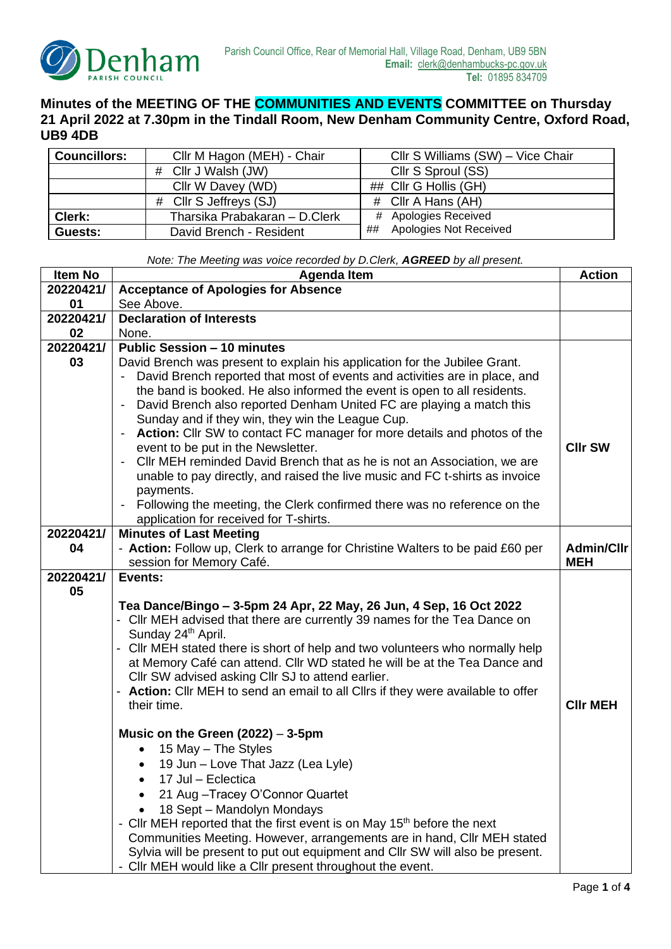

## **Minutes of the MEETING OF THE COMMUNITIES AND EVENTS COMMITTEE on Thursday 21 April 2022 at 7.30pm in the Tindall Room, New Denham Community Centre, Oxford Road, UB9 4DB**

| <b>Councillors:</b> | Cllr M Hagon (MEH) - Chair     | Cllr S Williams (SW) - Vice Chair |
|---------------------|--------------------------------|-----------------------------------|
|                     | # Cllr J Walsh (JW)            | Cllr S Sproul (SS)                |
|                     | Cllr W Davey (WD)              | ## Cllr G Hollis (GH)             |
|                     | # Cllr S Jeffreys (SJ)         | # Cllr A Hans (AH)                |
| Clerk:              | Tharsika Prabakaran - D. Clerk | # Apologies Received              |
| Guests:             | David Brench - Resident        | ## Apologies Not Received         |

*Note: The Meeting was voice recorded by D.Clerk, AGREED by all present.*

| Item No   | <b>Agenda Item</b>                                                                                                 |                   |
|-----------|--------------------------------------------------------------------------------------------------------------------|-------------------|
| 20220421/ | <b>Acceptance of Apologies for Absence</b>                                                                         |                   |
| 01        | See Above.                                                                                                         |                   |
| 20220421/ | <b>Declaration of Interests</b>                                                                                    |                   |
| 02        | None.                                                                                                              |                   |
| 20220421/ | <b>Public Session - 10 minutes</b>                                                                                 |                   |
| 03        | David Brench was present to explain his application for the Jubilee Grant.                                         |                   |
|           | David Brench reported that most of events and activities are in place, and                                         |                   |
|           | the band is booked. He also informed the event is open to all residents.                                           |                   |
|           | David Brench also reported Denham United FC are playing a match this                                               |                   |
|           | Sunday and if they win, they win the League Cup.                                                                   |                   |
|           | Action: Cllr SW to contact FC manager for more details and photos of the<br>$\qquad \qquad \blacksquare$           |                   |
|           | event to be put in the Newsletter.                                                                                 | <b>CIIr SW</b>    |
|           | CIIr MEH reminded David Brench that as he is not an Association, we are<br>$\qquad \qquad \blacksquare$            |                   |
|           | unable to pay directly, and raised the live music and FC t-shirts as invoice                                       |                   |
|           | payments.                                                                                                          |                   |
|           | Following the meeting, the Clerk confirmed there was no reference on the<br>application for received for T-shirts. |                   |
| 20220421/ | <b>Minutes of Last Meeting</b>                                                                                     |                   |
| 04        | - Action: Follow up, Clerk to arrange for Christine Walters to be paid £60 per                                     | <b>Admin/Cllr</b> |
|           | session for Memory Café.                                                                                           | <b>MEH</b>        |
| 20220421/ | Events:                                                                                                            |                   |
| 05        |                                                                                                                    |                   |
|           | Tea Dance/Bingo - 3-5pm 24 Apr, 22 May, 26 Jun, 4 Sep, 16 Oct 2022                                                 |                   |
|           | - Cllr MEH advised that there are currently 39 names for the Tea Dance on                                          |                   |
|           | Sunday 24th April.                                                                                                 |                   |
|           | - Cllr MEH stated there is short of help and two volunteers who normally help                                      |                   |
|           | at Memory Café can attend. Cllr WD stated he will be at the Tea Dance and                                          |                   |
|           | Cllr SW advised asking Cllr SJ to attend earlier.                                                                  |                   |
|           | - Action: Cllr MEH to send an email to all Cllrs if they were available to offer                                   |                   |
|           | their time.                                                                                                        | <b>CIIr MEH</b>   |
|           |                                                                                                                    |                   |
|           | Music on the Green $(2022) - 3-5$ pm                                                                               |                   |
|           | 15 May – The Styles                                                                                                |                   |
|           | 19 Jun - Love That Jazz (Lea Lyle)                                                                                 |                   |
|           | 17 Jul – Eclectica                                                                                                 |                   |
|           | 21 Aug - Tracey O'Connor Quartet                                                                                   |                   |
|           | 18 Sept - Mandolyn Mondays                                                                                         |                   |
|           | - Cllr MEH reported that the first event is on May 15 <sup>th</sup> before the next                                |                   |
|           | Communities Meeting. However, arrangements are in hand, CIIr MEH stated                                            |                   |
|           | Sylvia will be present to put out equipment and CIIr SW will also be present.                                      |                   |
|           | - Cllr MEH would like a Cllr present throughout the event.                                                         |                   |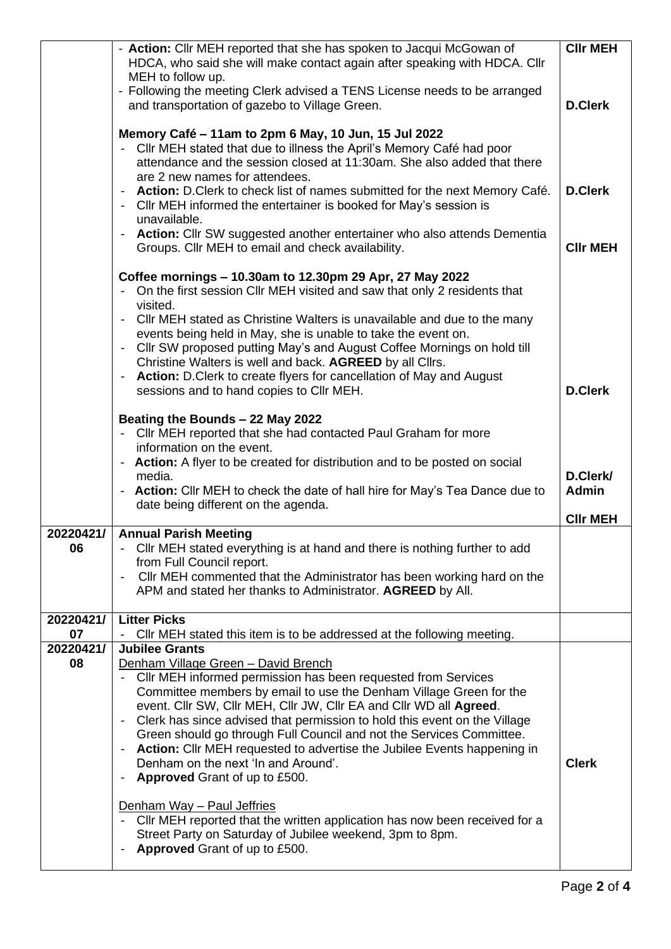|                 | - Action: Cllr MEH reported that she has spoken to Jacqui McGowan of<br>HDCA, who said she will make contact again after speaking with HDCA. Cllr                                                                                                                                  | <b>CIIr MEH</b>          |
|-----------------|------------------------------------------------------------------------------------------------------------------------------------------------------------------------------------------------------------------------------------------------------------------------------------|--------------------------|
|                 | MEH to follow up.<br>- Following the meeting Clerk advised a TENS License needs to be arranged<br>and transportation of gazebo to Village Green.                                                                                                                                   | <b>D.Clerk</b>           |
|                 | Memory Café - 11am to 2pm 6 May, 10 Jun, 15 Jul 2022<br>- Cllr MEH stated that due to illness the April's Memory Café had poor<br>attendance and the session closed at 11:30am. She also added that there<br>are 2 new names for attendees.                                        |                          |
|                 | - Action: D. Clerk to check list of names submitted for the next Memory Café.<br>- Cllr MEH informed the entertainer is booked for May's session is<br>unavailable.                                                                                                                | <b>D.Clerk</b>           |
|                 | - Action: Cllr SW suggested another entertainer who also attends Dementia<br>Groups. Cllr MEH to email and check availability.                                                                                                                                                     | <b>CIIr MEH</b>          |
|                 | Coffee mornings - 10.30am to 12.30pm 29 Apr, 27 May 2022<br>- On the first session Cllr MEH visited and saw that only 2 residents that<br>visited.                                                                                                                                 |                          |
|                 | - Cllr MEH stated as Christine Walters is unavailable and due to the many<br>events being held in May, she is unable to take the event on.<br>- Cllr SW proposed putting May's and August Coffee Mornings on hold till<br>Christine Walters is well and back. AGREED by all Cllrs. |                          |
|                 | - Action: D. Clerk to create flyers for cancellation of May and August<br>sessions and to hand copies to CIIr MEH.                                                                                                                                                                 | <b>D.Clerk</b>           |
|                 | Beating the Bounds - 22 May 2022<br>Cllr MEH reported that she had contacted Paul Graham for more<br>$\sim$<br>information on the event.                                                                                                                                           |                          |
|                 | - Action: A flyer to be created for distribution and to be posted on social<br>media.<br>- Action: Cllr MEH to check the date of hall hire for May's Tea Dance due to                                                                                                              | D.Clerk/<br><b>Admin</b> |
|                 | date being different on the agenda.                                                                                                                                                                                                                                                | <b>CIIr MEH</b>          |
| 20220421/       | <b>Annual Parish Meeting</b>                                                                                                                                                                                                                                                       |                          |
| 06              | Cllr MEH stated everything is at hand and there is nothing further to add<br>from Full Council report.                                                                                                                                                                             |                          |
|                 | CIIr MEH commented that the Administrator has been working hard on the                                                                                                                                                                                                             |                          |
|                 | APM and stated her thanks to Administrator. AGREED by All.                                                                                                                                                                                                                         |                          |
| 20220421/       | <b>Litter Picks</b>                                                                                                                                                                                                                                                                |                          |
| 07<br>20220421/ | - Cllr MEH stated this item is to be addressed at the following meeting.<br><b>Jubilee Grants</b>                                                                                                                                                                                  |                          |
| 08              | Denham Village Green - David Brench                                                                                                                                                                                                                                                |                          |
|                 | Cllr MEH informed permission has been requested from Services<br>$\overline{\phantom{a}}$                                                                                                                                                                                          |                          |
|                 | Committee members by email to use the Denham Village Green for the                                                                                                                                                                                                                 |                          |
|                 | event. Cllr SW, Cllr MEH, Cllr JW, Cllr EA and Cllr WD all Agreed.<br>Clerk has since advised that permission to hold this event on the Village<br>$\overline{\phantom{a}}$                                                                                                        |                          |
|                 | Green should go through Full Council and not the Services Committee.                                                                                                                                                                                                               |                          |
|                 | - Action: Cllr MEH requested to advertise the Jubilee Events happening in<br>Denham on the next 'In and Around'.                                                                                                                                                                   | <b>Clerk</b>             |
|                 | <b>Approved Grant of up to £500.</b><br>$\blacksquare$                                                                                                                                                                                                                             |                          |
|                 | Denham Way - Paul Jeffries                                                                                                                                                                                                                                                         |                          |
|                 | - Cllr MEH reported that the written application has now been received for a                                                                                                                                                                                                       |                          |
|                 | Street Party on Saturday of Jubilee weekend, 3pm to 8pm.                                                                                                                                                                                                                           |                          |
|                 | <b>Approved</b> Grant of up to £500.<br>$\overline{\phantom{a}}$                                                                                                                                                                                                                   |                          |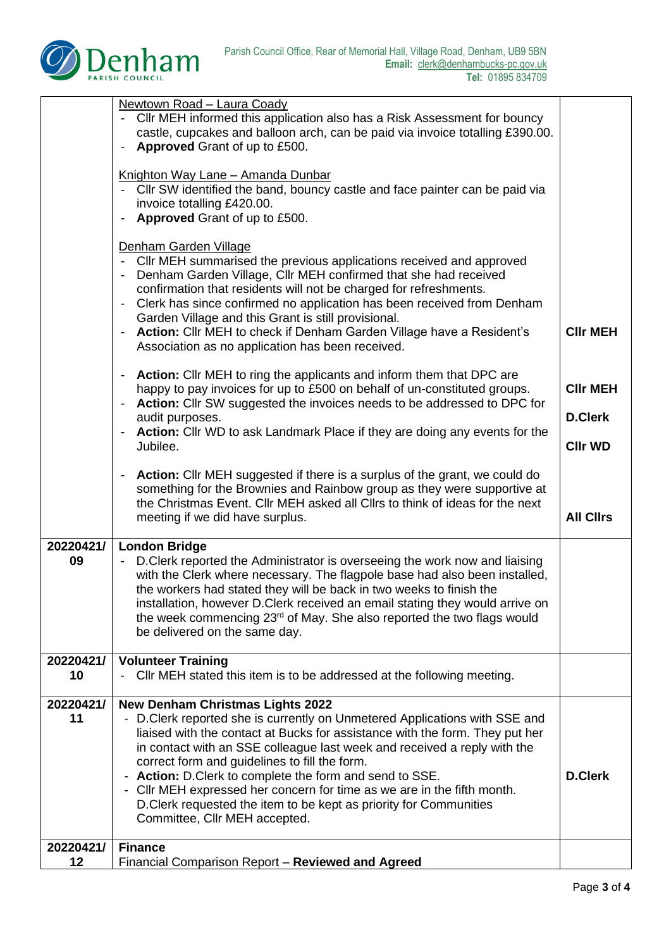

|                 | Newtown Road - Laura Coady                                                                                                                                                                                                                                                                                                                                                                                                                                                                                                                                                       |                                                     |
|-----------------|----------------------------------------------------------------------------------------------------------------------------------------------------------------------------------------------------------------------------------------------------------------------------------------------------------------------------------------------------------------------------------------------------------------------------------------------------------------------------------------------------------------------------------------------------------------------------------|-----------------------------------------------------|
|                 | - Cllr MEH informed this application also has a Risk Assessment for bouncy<br>castle, cupcakes and balloon arch, can be paid via invoice totalling £390.00.<br>Approved Grant of up to £500.                                                                                                                                                                                                                                                                                                                                                                                     |                                                     |
|                 | Knighton Way Lane - Amanda Dunbar<br>- Cllr SW identified the band, bouncy castle and face painter can be paid via<br>invoice totalling £420.00.<br>Approved Grant of up to £500.                                                                                                                                                                                                                                                                                                                                                                                                |                                                     |
|                 | Denham Garden Village<br>- Cllr MEH summarised the previous applications received and approved<br>Denham Garden Village, Cllr MEH confirmed that she had received<br>confirmation that residents will not be charged for refreshments.<br>Clerk has since confirmed no application has been received from Denham<br>Garden Village and this Grant is still provisional.<br>Action: Cllr MEH to check if Denham Garden Village have a Resident's<br>Association as no application has been received.                                                                              | <b>CIIr MEH</b>                                     |
|                 | Action: Cllr MEH to ring the applicants and inform them that DPC are<br>happy to pay invoices for up to £500 on behalf of un-constituted groups.<br>Action: Cllr SW suggested the invoices needs to be addressed to DPC for<br>audit purposes.<br>Action: Cllr WD to ask Landmark Place if they are doing any events for the<br>Jubilee.                                                                                                                                                                                                                                         | <b>CIIr MEH</b><br><b>D.Clerk</b><br><b>CIIr WD</b> |
|                 | Action: Cllr MEH suggested if there is a surplus of the grant, we could do<br>$\overline{\phantom{a}}$<br>something for the Brownies and Rainbow group as they were supportive at<br>the Christmas Event. Cllr MEH asked all Cllrs to think of ideas for the next<br>meeting if we did have surplus.                                                                                                                                                                                                                                                                             | <b>All Clirs</b>                                    |
| 20220421/<br>09 | <b>London Bridge</b><br>D. Clerk reported the Administrator is overseeing the work now and liaising<br>with the Clerk where necessary. The flagpole base had also been installed,<br>the workers had stated they will be back in two weeks to finish the<br>installation, however D.Clerk received an email stating they would arrive on<br>the week commencing 23 <sup>rd</sup> of May. She also reported the two flags would<br>be delivered on the same day.                                                                                                                  |                                                     |
| 20220421/<br>10 | <b>Volunteer Training</b><br>CIIr MEH stated this item is to be addressed at the following meeting.                                                                                                                                                                                                                                                                                                                                                                                                                                                                              |                                                     |
| 20220421/<br>11 | <b>New Denham Christmas Lights 2022</b><br>- D. Clerk reported she is currently on Unmetered Applications with SSE and<br>liaised with the contact at Bucks for assistance with the form. They put her<br>in contact with an SSE colleague last week and received a reply with the<br>correct form and guidelines to fill the form.<br>- Action: D.Clerk to complete the form and send to SSE.<br>- Cllr MEH expressed her concern for time as we are in the fifth month.<br>D. Clerk requested the item to be kept as priority for Communities<br>Committee, Cllr MEH accepted. | <b>D.Clerk</b>                                      |
| 20220421/       | <b>Finance</b>                                                                                                                                                                                                                                                                                                                                                                                                                                                                                                                                                                   |                                                     |
| 12              | Financial Comparison Report - Reviewed and Agreed                                                                                                                                                                                                                                                                                                                                                                                                                                                                                                                                |                                                     |